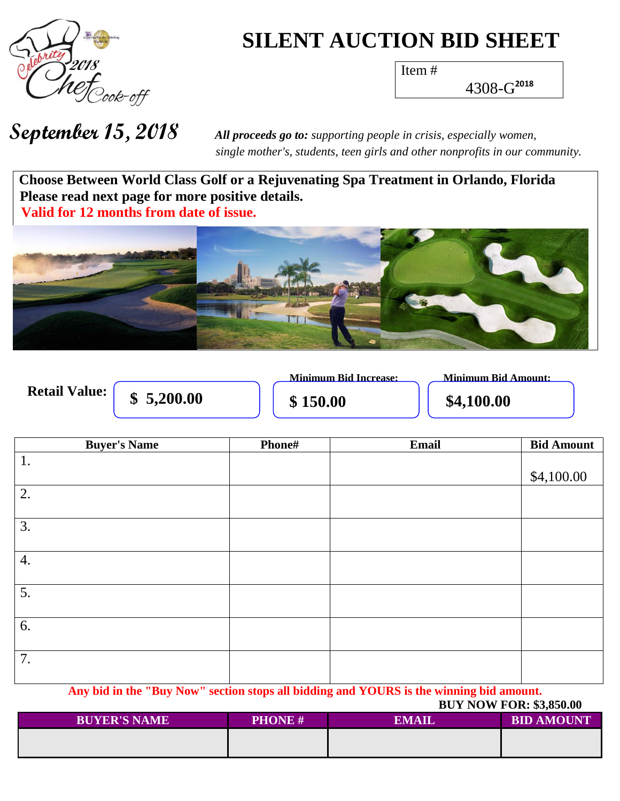

## **SILENT AUCTION BID SHEET**

Item #

4308-G **2018**

**September 15, 2018** *All proceeds go to: supporting people in crisis, especially women, single mother's, students, teen girls and other nonprofits in our community.*

**Choose Between World Class Golf or a Rejuvenating Spa Treatment in Orlando, Florida Please read next page for more positive details. Valid for 12 months from date of issue.** 



|                      |            | <b>Minimum Bid Increase:</b> | Minimum Bid Amount: |
|----------------------|------------|------------------------------|---------------------|
| <b>Retail Value:</b> | \$5,200.00 | \$150.00                     | \$4,100.00          |

| <b>Buyer's Name</b> | Phone# | Email | <b>Bid Amount</b> |
|---------------------|--------|-------|-------------------|
| 1.                  |        |       |                   |
|                     |        |       | \$4,100.00        |
| 2.                  |        |       |                   |
|                     |        |       |                   |
| 3.                  |        |       |                   |
|                     |        |       |                   |
| 4.                  |        |       |                   |
|                     |        |       |                   |
| 5.                  |        |       |                   |
|                     |        |       |                   |
| 6.                  |        |       |                   |
|                     |        |       |                   |
| 7.                  |        |       |                   |
|                     |        |       |                   |

**Any bid in the "Buy Now" section stops all bidding and YOURS is the winning bid amount.**

| <b>BUYER'S NAME</b> | <b>PHONE #</b> | <b>EMAIL</b> | <b>BID AMOUNT</b> |  |
|---------------------|----------------|--------------|-------------------|--|
|                     |                |              |                   |  |
|                     |                |              |                   |  |